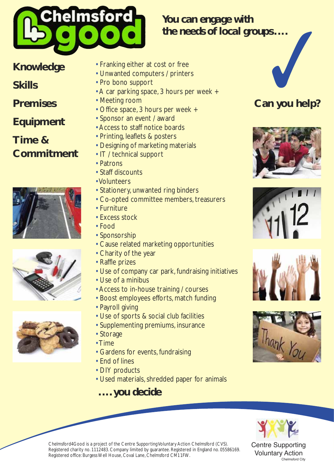

# *You can engage with the needs of local groups....* ✓

## **Knowledge**

#### **Skills**

**Premises**

#### **Equipment**

#### **Time & Commitment**







- Franking either at cost or free
- Unwanted computers / printers
- Pro bono support
- A car parking space, 3 hours per week +
- Meeting room
- Office space, 3 hours per week +
- Sponsor an event / award
- Access to staff notice boards
- Printing, leaflets & posters
- Designing of marketing materials
- IT / technical support
- Patrons
- Staff discounts
- Volunteers
- Stationery, unwanted ring binders
- Co-opted committee members, treasurers
- Furniture
- Excess stock
- Food
- Sponsorship
- Cause related marketing opportunities
- Charity of the year
- Raffle prizes
- Use of company car park, fundraising initiatives
- Use of a minibus
- Access to in-house training / courses
- Boost employees efforts, match funding
- Payroll giving
- Use of sports & social club facilities
- Supplementing premiums, insurance
- Storage
- Time
- Gardens for events, fundraising
- End of lines
- DIY products
- Used materials, shredded paper for animals

### *.... you decide*



Centre Supporting Voluntary Action

Chelmsford City

Chelmsford4Good is a project of the Centre Supporting Voluntary Action Chelmsford (CVS). Registered charity no. 1112483. Company limited by guarantee. Registered in England no. 05586169. Registered office: Burgess Well House, Coval Lane, Chelmsford CM11FW.

**Can you help?**